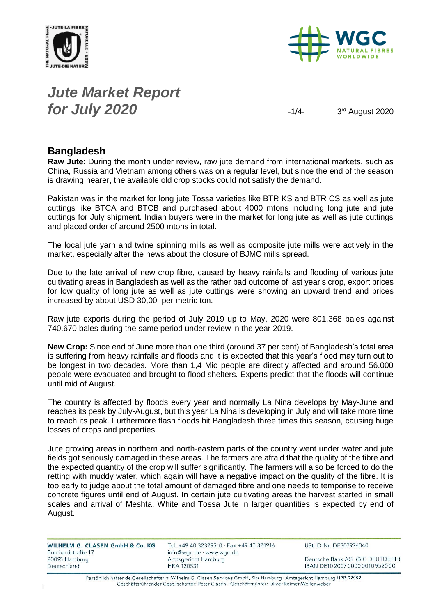



# *Jute Market Report for July 2020*  $\frac{1}{4}$

3rd August 2020

#### **Bangladesh**

**Raw Jute**: During the month under review, raw jute demand from international markets, such as China, Russia and Vietnam among others was on a regular level, but since the end of the season is drawing nearer, the available old crop stocks could not satisfy the demand.

Pakistan was in the market for long jute Tossa varieties like BTR KS and BTR CS as well as jute cuttings like BTCA and BTCB and purchased about 4000 mtons including long jute and jute cuttings for July shipment. Indian buyers were in the market for long jute as well as jute cuttings and placed order of around 2500 mtons in total.

The local jute yarn and twine spinning mills as well as composite jute mills were actively in the market, especially after the news about the closure of BJMC mills spread.

Due to the late arrival of new crop fibre, caused by heavy rainfalls and flooding of various jute cultivating areas in Bangladesh as well as the rather bad outcome of last year's crop, export prices for low quality of long jute as well as jute cuttings were showing an upward trend and prices increased by about USD 30,00 per metric ton.

Raw jute exports during the period of July 2019 up to May, 2020 were 801.368 bales against 740.670 bales during the same period under review in the year 2019.

**New Crop:** Since end of June more than one third (around 37 per cent) of Bangladesh's total area is suffering from heavy rainfalls and floods and it is expected that this year's flood may turn out to be longest in two decades. More than 1,4 Mio people are directly affected and around 56.000 people were evacuated and brought to flood shelters. Experts predict that the floods will continue until mid of August.

The country is affected by floods every year and normally La Nina develops by May-June and reaches its peak by July-August, but this year La Nina is developing in July and will take more time to reach its peak. Furthermore flash floods hit Bangladesh three times this season, causing huge losses of crops and properties.

Jute growing areas in northern and north-eastern parts of the country went under water and jute fields got seriously damaged in these areas. The farmers are afraid that the quality of the fibre and the expected quantity of the crop will suffer significantly. The farmers will also be forced to do the retting with muddy water, which again will have a negative impact on the quality of the fibre. It is too early to judge about the total amount of damaged fibre and one needs to temporise to receive concrete figures until end of August. In certain jute cultivating areas the harvest started in small scales and arrival of Meshta, White and Tossa Jute in larger quantities is expected by end of August.

| <b>WILHELM G. CLASEN GmbH &amp; Co. KG</b> | Tel. +49 40 323295-0 · Fax +49 40 321916 | USt-ID-Nr. DE307976040           |
|--------------------------------------------|------------------------------------------|----------------------------------|
| Burchardstraße 17                          | info@wgc.de · www.wgc.de                 |                                  |
| 20095 Hamburg                              | Amtsgericht Hamburg                      | Deutsche Bank AG (BIC DEUTDEHH)  |
| Deutschland                                | <b>HRA 120531</b>                        | IBAN DE10 2007 0000 0010 9520 00 |
|                                            |                                          |                                  |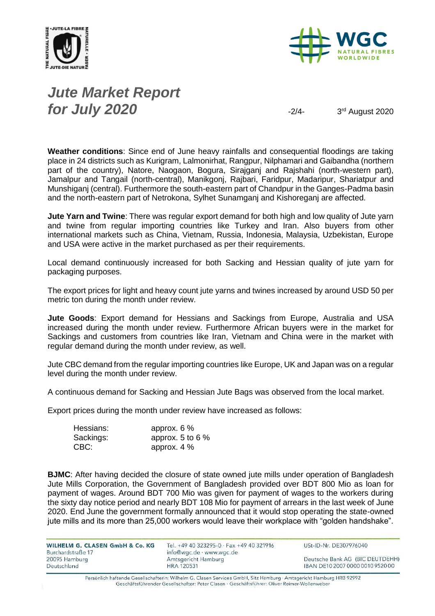



## *Jute Market Report for July 2020*  $\frac{3}{2}$

3rd August 2020

**Weather conditions**: Since end of June heavy rainfalls and consequential floodings are taking place in 24 districts such as Kurigram, Lalmonirhat, Rangpur, Nilphamari and Gaibandha (northern part of the country), Natore, Naogaon, Bogura, Sirajganj and Rajshahi (north-western part), Jamalpur and Tangail (north-central), Manikgonj, Rajbari, Faridpur, Madaripur, Shariatpur and Munshiganj (central). Furthermore the south-eastern part of Chandpur in the Ganges-Padma basin and the north-eastern part of Netrokona, Sylhet Sunamganj and Kishoreganj are affected.

**Jute Yarn and Twine**: There was regular export demand for both high and low quality of Jute yarn and twine from regular importing countries like Turkey and Iran. Also buyers from other international markets such as China, Vietnam, Russia, Indonesia, Malaysia, Uzbekistan, Europe and USA were active in the market purchased as per their requirements.

Local demand continuously increased for both Sacking and Hessian quality of jute yarn for packaging purposes.

The export prices for light and heavy count jute yarns and twines increased by around USD 50 per metric ton during the month under review.

**Jute Goods**: Export demand for Hessians and Sackings from Europe, Australia and USA increased during the month under review. Furthermore African buyers were in the market for Sackings and customers from countries like Iran, Vietnam and China were in the market with regular demand during the month under review, as well.

Jute CBC demand from the regular importing countries like Europe, UK and Japan was on a regular level during the month under review.

A continuous demand for Sacking and Hessian Jute Bags was observed from the local market.

Export prices during the month under review have increased as follows:

| Hessians: | approx. $6\%$    |
|-----------|------------------|
| Sackings: | approx. 5 to 6 % |
| CBC:      | approx. $4\%$    |

**BJMC**: After having decided the closure of state owned jute mills under operation of Bangladesh Jute Mills Corporation, the Government of Bangladesh provided over BDT 800 Mio as loan for payment of wages. Around BDT 700 Mio was given for payment of wages to the workers during the sixty day notice period and nearly BDT 108 Mio for payment of arrears in the last week of June 2020. End June the government formally announced that it would stop operating the state-owned jute mills and its more than 25,000 workers would leave their workplace with "golden handshake".

WILHELM G. CLASEN GmbH & Co. KG Burchardstraße 17 20095 Hamburg Deutschland

Tel. +49 40 323295-0 · Fax +49 40 321916 info@wgc.de · www.wgc.de Amtsgericht Hamburg **HRA 120531** 

USt-ID-Nr. DE307976040

Deutsche Bank AG (BIC DEUTDEHH) IBAN DE10 2007 0000 0010 9520 00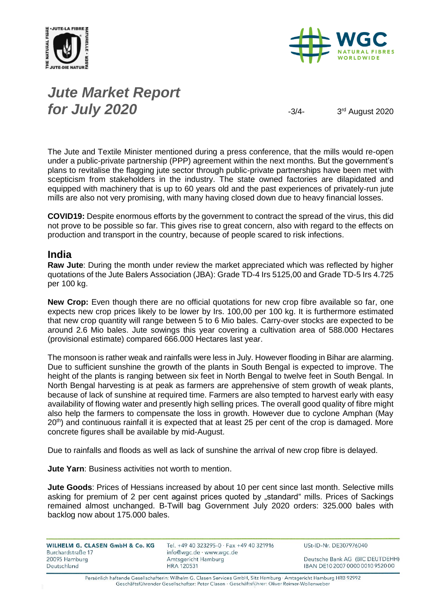



# *Jute Market Report for July 2020*  $\frac{3}{4}$

3rd August 2020

The Jute and Textile Minister mentioned during a press conference, that the mills would re-open under a public-private partnership (PPP) agreement within the next months. But the government's plans to revitalise the flagging jute sector through public-private partnerships have been met with scepticism from stakeholders in the industry. The state owned factories are dilapidated and equipped with machinery that is up to 60 years old and the past experiences of privately-run jute mills are also not very promising, with many having closed down due to heavy financial losses.

**COVID19:** Despite enormous efforts by the government to contract the spread of the virus, this did not prove to be possible so far. This gives rise to great concern, also with regard to the effects on production and transport in the country, because of people scared to risk infections.

#### **India**

**Raw Jute**: During the month under review the market appreciated which was reflected by higher quotations of the Jute Balers Association (JBA): Grade TD-4 Irs 5125,00 and Grade TD-5 Irs 4.725 per 100 kg.

**New Crop:** Even though there are no official quotations for new crop fibre available so far, one expects new crop prices likely to be lower by Irs. 100,00 per 100 kg. It is furthermore estimated that new crop quantity will range between 5 to 6 Mio bales. Carry-over stocks are expected to be around 2.6 Mio bales. Jute sowings this year covering a cultivation area of 588.000 Hectares (provisional estimate) compared 666.000 Hectares last year.

The monsoon is rather weak and rainfalls were less in July. However flooding in Bihar are alarming. Due to sufficient sunshine the growth of the plants in South Bengal is expected to improve. The height of the plants is ranging between six feet in North Bengal to twelve feet in South Bengal. In North Bengal harvesting is at peak as farmers are apprehensive of stem growth of weak plants, because of lack of sunshine at required time. Farmers are also tempted to harvest early with easy availability of flowing water and presently high selling prices. The overall good quality of fibre might also help the farmers to compensate the loss in growth. However due to cyclone Amphan (May 20<sup>th</sup>) and continuous rainfall it is expected that at least 25 per cent of the crop is damaged. More concrete figures shall be available by mid-August.

Due to rainfalls and floods as well as lack of sunshine the arrival of new crop fibre is delayed.

**Jute Yarn**: Business activities not worth to mention.

**Jute Goods**: Prices of Hessians increased by about 10 per cent since last month. Selective mills asking for premium of 2 per cent against prices quoted by "standard" mills. Prices of Sackings remained almost unchanged. B-Twill bag Government July 2020 orders: 325.000 bales with backlog now about 175.000 bales.

| WILHELM G. CLASEN GmbH & Co. KG | Tel. +49 40 323295-0 · Fax +49 40 321916 |
|---------------------------------|------------------------------------------|
| Burchardstraße 17               | $info@wqc.de \cdot www.wqc.de$           |
| 20095 Hamburg                   | Amtsgericht Hamburg                      |
| Deutschland                     | <b>HRA 120531</b>                        |
|                                 |                                          |

USt-ID-Nr. DE307976040

Deutsche Bank AG (BIC DEUTDEHH) IBAN DE10 2007 0000 0010 9520 00